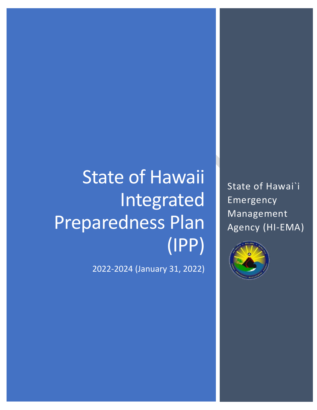# State of Hawaii Integrated Preparedness Plan (IPP)

2022-2024 (January 31, 2022)

State of Hawai`i Emergency Management Agency (HI-EMA)

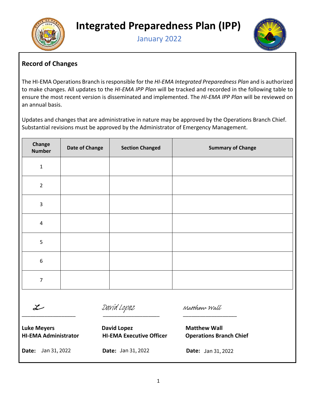<span id="page-1-1"></span>



### <span id="page-1-0"></span>**Record of Changes**

The HI-EMA Operations Branch is responsible for the *HI-EMA Integrated Preparedness Plan* and is authorized to make changes. All updates to the *HI-EMA IPP Plan* will be tracked and recorded in the following table to ensure the most recent version is disseminated and implemented. The *HI-EMA IPP Plan* will be reviewed on an annual basis.

Updates and changes that are administrative in nature may be approved by the Operations Branch Chief. Substantial revisions must be approved by the Administrator of Emergency Management.

| Change<br><b>Number</b> | <b>Date of Change</b> | <b>Section Changed</b> | <b>Summary of Change</b> |
|-------------------------|-----------------------|------------------------|--------------------------|
| $\mathbf{1}$            |                       |                        |                          |
| $\overline{2}$          |                       |                        |                          |
| $\overline{3}$          |                       |                        |                          |
| $\overline{4}$          |                       |                        |                          |
| 5                       |                       |                        |                          |
| $\,$ 6 $\,$             |                       |                        |                          |
| $\overline{7}$          |                       |                        |                          |

 $\mathcal{L}$ 

[David Lopez](https://stateofhawaii.na1.adobesign.com/verifier?tx=CBJCHBCAABAAGGb4f30hV1yVjf-jK9Cyu3x7lsoDCSH3)

**Luke Meyers Constructed Example 2 David Lopez Matthew Wall** 

**Date:** Jan 31, 2022

[\\_\\_\\_\\_\\_\\_\\_\\_\\_\\_\\_\\_\\_\\_\\_\\_\\_\\_\\_](https://stateofhawaii.na1.adobesign.com/verifier?tx=CBJCHBCAABAAGGb4f30hV1yVjf-jK9Cyu3x7lsoDCSH3) \_\_\_\_\_\_\_\_\_\_\_\_\_\_\_\_\_\_\_\_ \_\_\_\_\_\_\_\_\_\_\_\_\_\_\_\_\_\_\_

**HI-EMA Administrator HI-EMA Executive Officer Operations Branch Chief Date: Jan 31, 2022** Lopez<br> **[Matthew Wall](https://stateofhawaii.na1.adobesign.com/verifier?tx=CBJCHBCAABAAGGb4f30hV1yVjf-jK9Cyu3x7lsoDCSH3)**<br> **Signer Matthew Wall**<br> **A Executive Officer**<br>
Jan 31, 2022<br> **Date:** Jan 31,

**Date:** Jan 31, 2022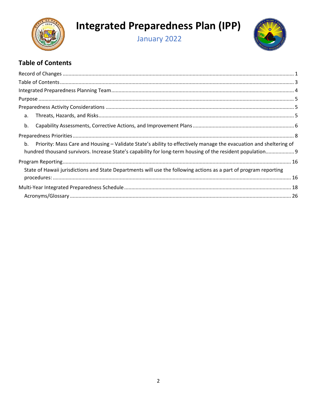

# **Integrated Preparedness Plan (IPP)**

January 2022



### <span id="page-2-0"></span>**Table of Contents**

| a.                                                                                                                      |  |
|-------------------------------------------------------------------------------------------------------------------------|--|
| b.                                                                                                                      |  |
|                                                                                                                         |  |
| b.<br>Priority: Mass Care and Housing – Validate State's ability to effectively manage the evacuation and sheltering of |  |
| hundred thousand survivors. Increase State's capability for long-term housing of the resident population 9              |  |
|                                                                                                                         |  |
| State of Hawaii jurisdictions and State Departments will use the following actions as a part of program reporting       |  |
|                                                                                                                         |  |
|                                                                                                                         |  |
|                                                                                                                         |  |
|                                                                                                                         |  |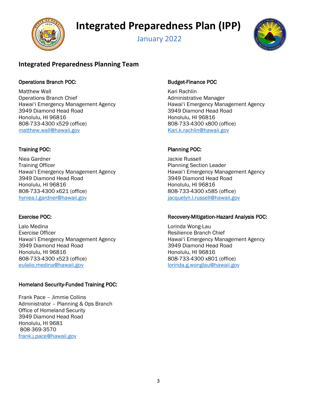**Integrated Preparedness Plan (IPP)**

<span id="page-3-1"></span>

### January 2022



#### <span id="page-3-0"></span>**Integrated Preparedness Planning Team**

#### Operations Branch POC: Same Contract Contract Budget-Finance POC

Matthew Wall **Kari Rachlin** Kari Rachlin Operations Branch Chief Administrative Manager Hawai'i Emergency Management Agency Hawai'i Emergency Management Agency 3949 Diamond Head Road 3949 Diamond Head Road Honolulu, HI 96816 **Honolulu, HI 96816** Honolulu, HI 96816 808-733-4300 x529 (office) 808-733-4300 x800 (office) [matthew.wall@hawaii.gov](mailto:matthew.wall@hawaii.gov) example and the [Kari.k.rachlin@hawaii.gov](mailto:Kari.k.rachlin@hawaii.gov)

Niea Gardner **Jackie Russell Training Officer Planning Section Leader** Planning Section Leader Hawai'i Emergency Management Agency Hawai'i Emergency Management Agency 3949 Diamond Head Road 3949 Diamond Head Road Honolulu, HI 96816 **Honolulu**, HI 96816 808-733-4300 x621 (office) 808-733-4300 x585 (office) [hyniea.l.gardner@hawaii.gov](mailto:shawn.p.grzybowski@hawaii.gov) [jacquelyn.l.russell@hawaii.gov](mailto:jacquelyn.l.russell@hawaii.gov)

Lalo Medina Lorinda Wong-Lau Hawai'i Emergency Management Agency Hawai'i Emergency Management Agency 3949 Diamond Head Road 3949 Diamond Head Road Honolulu, HI 96816 **Honolulu**, HI 96816 808-733-4300 x523 (office) 808-733-4300 x801 (office) [eulalio.medina@hawaii.gov](mailto:eulalio.medina@hawaii.gov) [lorinda.g.wonglau@hawaii.gov](mailto:lorinda.g.wonglau@hawaii.gov)

#### Homeland Security-Funded Training POC:

Frank Pace – Jimmie Collins Administrator – Planning & Ops Branch Office of Homeland Security 3949 Diamond Head Road Honolulu, HI 9681 808-369-3570 [frank.j.pace@hawaii.gov](mailto:frank.j.pace@hawaii.gov)

#### Training POC: Planning POC:

#### Exercise POC: **Recovery-Mitigation-Hazard Analysis POC:** Recovery-Mitigation-Hazard Analysis POC:

Resilience Branch Chief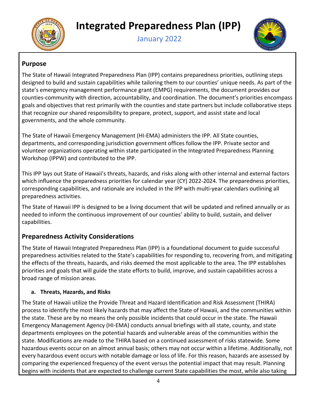<span id="page-4-3"></span>



#### <span id="page-4-0"></span>**Purpose**

The State of Hawaii Integrated Preparedness Plan (IPP) contains preparedness priorities, outlining steps designed to build and sustain capabilities while tailoring them to our counties' unique needs. As part of the state's emergency management performance grant (EMPG) requirements, the document provides our counties-community with direction, accountability, and coordination. The document's priorities encompass goals and objectives that rest primarily with the counties and state partners but include collaborative steps that recognize our shared responsibility to prepare, protect, support, and assist state and local governments, and the whole community.

The State of Hawaii Emergency Management (HI-EMA) administers the IPP. All State counties, departments, and corresponding jurisdiction government offices follow the IPP. Private sector and volunteer organizations operating within state participated in the Integrated Preparedness Planning Workshop (IPPW) and contributed to the IPP.

This IPP lays out State of Hawaii's threats, hazards, and risks along with other internal and external factors which influence the preparedness priorities for calendar year (CY) 2022-2024. The preparedness priorities, corresponding capabilities, and rationale are included in the IPP with multi-year calendars outlining all preparedness activities.

The State of Hawaii IPP is designed to be a living document that will be updated and refined annually or as needed to inform the continuous improvement of our counties' ability to build, sustain, and deliver capabilities.

#### <span id="page-4-1"></span>**Preparedness Activity Considerations**

The State of Hawaii Integrated Preparedness Plan (IPP) is a foundational document to guide successful preparedness activities related to the State's capabilities for responding to, recovering from, and mitigating the effects of the threats, hazards, and risks deemed the most applicable to the area. The IPP establishes priorities and goals that will guide the state efforts to build, improve, and sustain capabilities across a broad range of mission areas.

#### <span id="page-4-2"></span>**a. Threats, Hazards, and Risks**

The State of Hawaii utilize the Provide Threat and Hazard Identification and Risk Assessment (THIRA) process to identify the most likely hazards that may affect the State of Hawaii, and the communities within the state. These are by no means the only possible incidents that could occur in the state. The Hawaii Emergency Management Agency (HI-EMA) conducts annual briefings with all state, county, and state departments employees on the potential hazards and vulnerable areas of the communities within the state. Modifications are made to the THIRA based on a continued assessment of risks statewide. Some hazardous events occur on an almost annual basis; others may not occur within a lifetime. Additionally, not every hazardous event occurs with notable damage or loss of life. For this reason, hazards are assessed by comparing the experienced frequency of the event versus the potential impact that may result. Planning begins with incidents that are expected to challenge current State capabilities the most, while also taking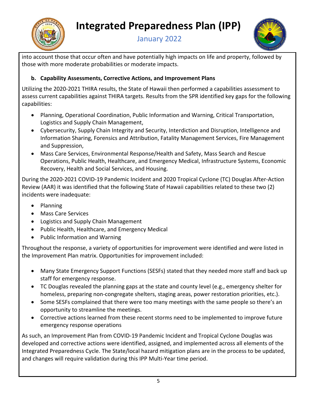<span id="page-5-1"></span>

## **Integrated Preparedness Plan (IPP)**

January 2022



into account those that occur often and have potentially high impacts on life and property, followed by those with more moderate probabilities or moderate impacts.

#### <span id="page-5-0"></span>**b. Capability Assessments, Corrective Actions, and Improvement Plans**

Utilizing the 2020-2021 THIRA results, the State of Hawaii then performed a capabilities assessment to assess current capabilities against THIRA targets. Results from the SPR identified key gaps for the following capabilities:

- Planning, Operational Coordination, Public Information and Warning, Critical Transportation, Logistics and Supply Chain Management,
- Cybersecurity, Supply Chain Integrity and Security, Interdiction and Disruption, Intelligence and Information Sharing, Forensics and Attribution, Fatality Management Services, Fire Management and Suppression,
- Mass Care Services, Environmental Response/Health and Safety, Mass Search and Rescue Operations, Public Health, Healthcare, and Emergency Medical, Infrastructure Systems, Economic Recovery, Health and Social Services, and Housing.

During the 2020-2021 COVID-19 Pandemic Incident and 2020 Tropical Cyclone (TC) Douglas After-Action Review (AAR) it was identified that the following State of Hawaii capabilities related to these two (2) incidents were inadequate:

- Planning
- Mass Care Services
- Logistics and Supply Chain Management
- Public Health, Healthcare, and Emergency Medical
- Public Information and Warning

Throughout the response, a variety of opportunities for improvement were identified and were listed in the Improvement Plan matrix. Opportunities for improvement included:

- Many State Emergency Support Functions (SESFs) stated that they needed more staff and back up staff for emergency response.
- TC Douglas revealed the planning gaps at the state and county level (e.g., emergency shelter for homeless, preparing non-congregate shelters, staging areas, power restoration priorities, etc.).
- Some SESFs complained that there were too many meetings with the same people so there's an opportunity to streamline the meetings.
- Corrective actions learned from these recent storms need to be implemented to improve future emergency response operations

As such, an Improvement Plan from COVID-19 Pandemic Incident and Tropical Cyclone Douglas was developed and corrective actions were identified, assigned, and implemented across all elements of the Integrated Preparedness Cycle. The State/local hazard mitigation plans are in the process to be updated, and changes will require validation during this IPP Multi-Year time period.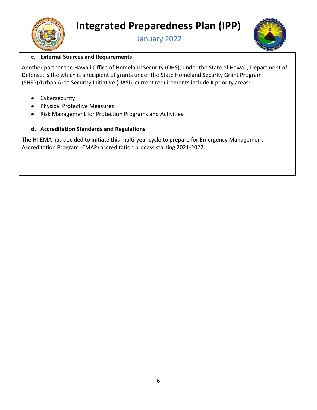



#### **c. External Sources and Requirements**

Another partner the Hawaii Office of Homeland Security (OHS), under the State of Hawaii, Department of Defense, is the which is a recipient of grants under the State Homeland Security Grant Program (SHSP)/Urban Area Security Initiative (UASI), current requirements include # priority areas:

- Cybersecurity
- Physical Protective Measures
- Risk Management for Protection Programs and Activities

#### **d. Accreditation Standards and Regulations**

The HI-EMA has decided to initiate this multi-year cycle to prepare for Emergency Management Accreditation Program (EMAP) accreditation process starting 2021-2022.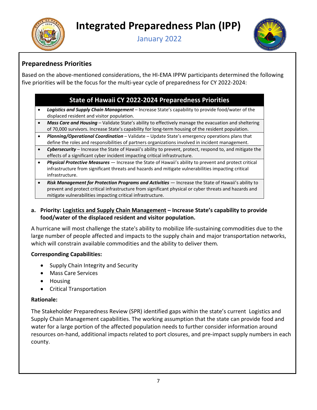<span id="page-7-1"></span>



### <span id="page-7-0"></span>**Preparedness Priorities**

Based on the above-mentioned considerations, the HI-EMA IPPW participants determined the following five priorities will be the focus for the multi-year cycle of preparedness for CY 2022-2024:

#### **State of Hawaii CY 2022-2024 Preparedness Priorities**

- *Logistics and Supply Chain Management* Increase State's capability to provide food/water of the displaced resident and visitor population.
- *Mass Care and Housing* Validate State's ability to effectively manage the evacuation and sheltering of 70,000 survivors. Increase State's capability for long-term housing of the resident population.
- *Planning/Operational Coordination* Validate Update State's emergency operations plans that define the roles and responsibilities of partners organizations involved in incident management.
- *Cybersecurity* Increase the State of Hawaii's ability to prevent, protect, respond to, and mitigate the effects of a significant cyber incident impacting critical infrastructure.
- *Physical Protective Measures* Increase the State of Hawaii's ability to prevent and protect critical infrastructure from significant threats and hazards and mitigate vulnerabilities impacting critical infrastructure.
- *Risk Management for Protection Programs and Activities* Increase the State of Hawaii's ability to prevent and protect critical infrastructure from significant physical or cyber threats and hazards and mitigate vulnerabilities impacting critical infrastructure.

#### **a. Priority: Logistics and Supply Chain Management – Increase State's capability to provide food/water of the displaced resident and visitor population.**

A hurricane will most challenge the state's ability to mobilize life-sustaining commodities due to the large number of people affected and impacts to the supply chain and major transportation networks, which will constrain available commodities and the ability to deliver them*.*

#### **Corresponding Capabilities:**

- Supply Chain Integrity and Security
- Mass Care Services
- Housing
- Critical Transportation

#### **Rationale:**

The Stakeholder Preparedness Review (SPR) identified gaps within the state's current Logistics and Supply Chain Management capabilities. The working assumption that the state can provide food and water for a large portion of the affected population needs to further consider information around resources on-hand, additional impacts related to port closures, and pre-impact supply numbers in each county.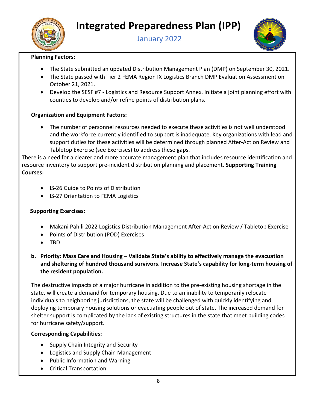<span id="page-8-1"></span>



#### **Planning Factors:**

- The State submitted an updated Distribution Management Plan (DMP) on September 30, 2021.
- The State passed with Tier 2 FEMA Region IX Logistics Branch DMP Evaluation Assessment on October 21, 2021.
- Develop the SESF #7 Logistics and Resource Support Annex. Initiate a joint planning effort with counties to develop and/or refine points of distribution plans.

#### **Organization and Equipment Factors:**

• The number of personnel resources needed to execute these activities is not well understood and the workforce currently identified to support is inadequate. Key organizations with lead and support duties for these activities will be determined through planned After-Action Review and Tabletop Exercise (see Exercises) to address these gaps.

There is a need for a clearer and more accurate management plan that includes resource identification and resource inventory to support pre-incident distribution planning and placement. **Supporting Training Courses:** 

- IS-26 Guide to Points of Distribution
- IS-27 Orientation to FEMA Logistics

#### **Supporting Exercises:**

- Makani Pahili 2022 Logistics Distribution Management After-Action Review / Tabletop Exercise
- Points of Distribution (POD) Exercises
- TBD
- <span id="page-8-0"></span>**b. Priority: Mass Care and Housing – Validate State's ability to effectively manage the evacuation and sheltering of hundred thousand survivors. Increase State's capability for long-term housing of the resident population.**

The destructive impacts of a major hurricane in addition to the pre-existing housing shortage in the state, will create a demand for temporary housing. Due to an inability to temporarily relocate individuals to neighboring jurisdictions, the state will be challenged with quickly identifying and deploying temporary housing solutions or evacuating people out of state. The increased demand for shelter support is complicated by the lack of existing structures in the state that meet building codes for hurricane safety/support.

#### **Corresponding Capabilities:**

- Supply Chain Integrity and Security
- Logistics and Supply Chain Management
- Public Information and Warning
- Critical Transportation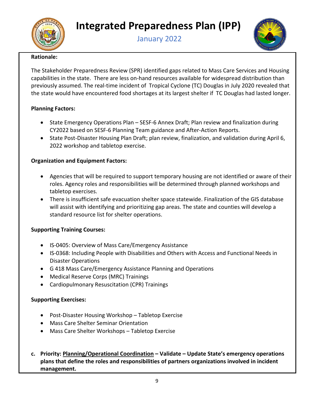



#### **Rationale:**

The Stakeholder Preparedness Review (SPR) identified gaps related to Mass Care Services and Housing capabilities in the state. There are less on-hand resources available for widespread distribution than previously assumed. The real-time incident of Tropical Cyclone (TC) Douglas in July 2020 revealed that the state would have encountered food shortages at its largest shelter if TC Douglas had lasted longer.

#### **Planning Factors:**

- State Emergency Operations Plan SESF-6 Annex Draft; Plan review and finalization during CY2022 based on SESF-6 Planning Team guidance and After-Action Reports.
- State Post-Disaster Housing Plan Draft; plan review, finalization, and validation during April 6, 2022 workshop and tabletop exercise.

#### **Organization and Equipment Factors:**

- Agencies that will be required to support temporary housing are not identified or aware of their roles. Agency roles and responsibilities will be determined through planned workshops and tabletop exercises.
- There is insufficient safe evacuation shelter space statewide. Finalization of the GIS database will assist with identifying and prioritizing gap areas. The state and counties will develop a standard resource list for shelter operations.

#### **Supporting Training Courses:**

- IS-0405: Overview of Mass Care/Emergency Assistance
- IS-0368: Including People with Disabilities and Others with Access and Functional Needs in Disaster Operations
- G 418 Mass Care/Emergency Assistance Planning and Operations
- Medical Reserve Corps (MRC) Trainings
- Cardiopulmonary Resuscitation (CPR) Trainings

#### **Supporting Exercises:**

- Post-Disaster Housing Workshop Tabletop Exercise
- Mass Care Shelter Seminar Orientation
- Mass Care Shelter Workshops Tabletop Exercise
- **c. Priority: Planning/Operational Coordination – Validate Update State's emergency operations plans that define the roles and responsibilities of partners organizations involved in incident management.**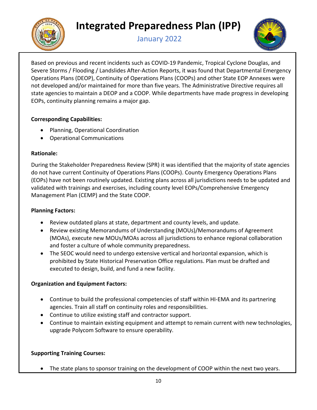



Based on previous and recent incidents such as COVID-19 Pandemic, Tropical Cyclone Douglas, and Severe Storms / Flooding / Landslides After-Action Reports, it was found that Departmental Emergency Operations Plans (DEOP), Continuity of Operations Plans (COOPs) and other State EOP Annexes were not developed and/or maintained for more than five years. The Administrative Directive requires all state agencies to maintain a DEOP and a COOP. While departments have made progress in developing EOPs, continuity planning remains a major gap.

#### **Corresponding Capabilities:**

- Planning, Operational Coordination
- Operational Communications

#### **Rationale:**

During the Stakeholder Preparedness Review (SPR) it was identified that the majority of state agencies do not have current Continuity of Operations Plans (COOPs). County Emergency Operations Plans (EOPs) have not been routinely updated. Existing plans across all jurisdictions needs to be updated and validated with trainings and exercises, including county level EOPs/Comprehensive Emergency Management Plan (CEMP) and the State COOP.

#### **Planning Factors:**

- Review outdated plans at state, department and county levels, and update.
- Review existing Memorandums of Understanding (MOUs)/Memorandums of Agreement (MOAs), execute new MOUs/MOAs across all jurisdictions to enhance regional collaboration and foster a culture of whole community preparedness.
- The SEOC would need to undergo extensive vertical and horizontal expansion, which is prohibited by State Historical Preservation Office regulations. Plan must be drafted and executed to design, build, and fund a new facility.

#### **Organization and Equipment Factors:**

- Continue to build the professional competencies of staff within HI-EMA and its partnering agencies. Train all staff on continuity roles and responsibilities.
- Continue to utilize existing staff and contractor support.
- Continue to maintain existing equipment and attempt to remain current with new technologies, upgrade Polycom Software to ensure operability.

#### **Supporting Training Courses:**

• The state plans to sponsor training on the development of COOP within the next two years.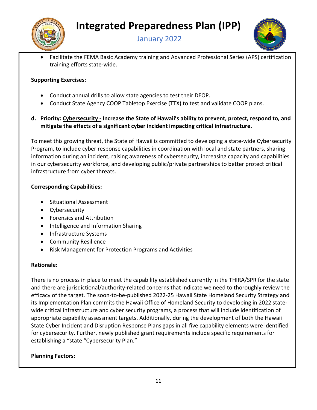





• Facilitate the FEMA Basic Academy training and Advanced Professional Series (APS) certification training efforts state-wide.

#### **Supporting Exercises:**

- Conduct annual drills to allow state agencies to test their DEOP.
- Conduct State Agency COOP Tabletop Exercise (TTX) to test and validate COOP plans.

#### **d. Priority: Cybersecurity - Increase the State of Hawaii's ability to prevent, protect, respond to, and mitigate the effects of a significant cyber incident impacting critical infrastructure.**

To meet this growing threat, the State of Hawaii is committed to developing a state-wide Cybersecurity Program, to include cyber response capabilities in coordination with local and state partners, sharing information during an incident, raising awareness of cybersecurity, increasing capacity and capabilities in our cybersecurity workforce, and developing public/private partnerships to better protect critical infrastructure from cyber threats.

#### **Corresponding Capabilities:**

- Situational Assessment
- Cybersecurity
- Forensics and Attribution
- Intelligence and Information Sharing
- Infrastructure Systems
- Community Resilience
- Risk Management for Protection Programs and Activities

#### **Rationale:**

There is no process in place to meet the capability established currently in the THIRA/SPR for the state and there are jurisdictional/authority-related concerns that indicate we need to thoroughly review the efficacy of the target. The soon-to-be-published 2022-25 Hawaii State Homeland Security Strategy and its Implementation Plan commits the Hawaii Office of Homeland Security to developing in 2022 statewide critical infrastructure and cyber security programs, a process that will include identification of appropriate capability assessment targets. Additionally, during the development of both the Hawaii State Cyber Incident and Disruption Response Plans gaps in all five capability elements were identified for cybersecurity. Further, newly published grant requirements include specific requirements for establishing a "state "Cybersecurity Plan."

#### **Planning Factors:**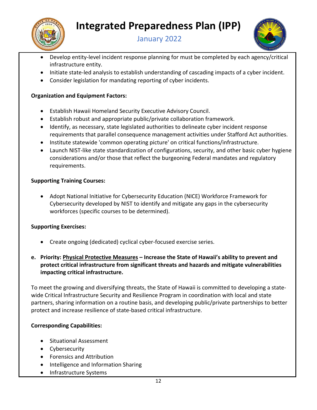

# **Integrated Preparedness Plan (IPP)**

January 2022



- Develop entity-level incident response planning for must be completed by each agency/critical infrastructure entity.
- Initiate state-led analysis to establish understanding of cascading impacts of a cyber incident.
- Consider legislation for mandating reporting of cyber incidents.

#### **Organization and Equipment Factors:**

- Establish Hawaii Homeland Security Executive Advisory Council.
- Establish robust and appropriate public/private collaboration framework.
- Identify, as necessary, state legislated authorities to delineate cyber incident response requirements that parallel consequence management activities under Stafford Act authorities.
- Institute statewide 'common operating picture' on critical functions/infrastructure.
- Launch NIST-like state standardization of configurations, security, and other basic cyber hygiene considerations and/or those that reflect the burgeoning Federal mandates and regulatory requirements.

#### **Supporting Training Courses:**

• Adopt National Initiative for Cybersecurity Education (NICE) Workforce Framework for Cybersecurity developed by NIST to identify and mitigate any gaps in the cybersecurity workforces (specific courses to be determined).

#### **Supporting Exercises:**

- Create ongoing (dedicated) cyclical cyber-focused exercise series.
- **e. Priority: Physical Protective Measures Increase the State of Hawaii's ability to prevent and protect critical infrastructure from significant threats and hazards and mitigate vulnerabilities impacting critical infrastructure.**

To meet the growing and diversifying threats, the State of Hawaii is committed to developing a statewide Critical Infrastructure Security and Resilience Program in coordination with local and state partners, sharing information on a routine basis, and developing public/private partnerships to better protect and increase resilience of state-based critical infrastructure.

#### **Corresponding Capabilities:**

- Situational Assessment
- Cybersecurity
- Forensics and Attribution
- Intelligence and Information Sharing
- Infrastructure Systems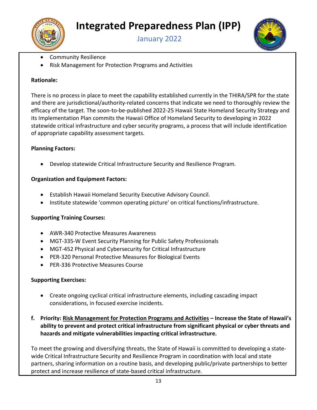



- Community Resilience
- Risk Management for Protection Programs and Activities

#### **Rationale:**

There is no process in place to meet the capability established currently in the THIRA/SPR for the state and there are jurisdictional/authority-related concerns that indicate we need to thoroughly review the efficacy of the target. The soon-to-be-published 2022-25 Hawaii State Homeland Security Strategy and its Implementation Plan commits the Hawaii Office of Homeland Security to developing in 2022 statewide critical infrastructure and cyber security programs, a process that will include identification of appropriate capability assessment targets.

#### **Planning Factors:**

• Develop statewide Critical Infrastructure Security and Resilience Program.

#### **Organization and Equipment Factors:**

- Establish Hawaii Homeland Security Executive Advisory Council.
- Institute statewide 'common operating picture' on critical functions/infrastructure.

#### **Supporting Training Courses:**

- AWR-340 Protective Measures Awareness
- MGT-335-W Event Security Planning for Public Safety Professionals
- MGT-452 Physical and Cybersecurity for Critical Infrastructure
- PER-320 Personal Protective Measures for Biological Events
- PER-336 Protective Measures Course

#### **Supporting Exercises:**

- Create ongoing cyclical critical infrastructure elements, including cascading impact considerations, in focused exercise incidents.
- **f. Priority: Risk Management for Protection Programs and Activities Increase the State of Hawaii's ability to prevent and protect critical infrastructure from significant physical or cyber threats and hazards and mitigate vulnerabilities impacting critical infrastructure.**

To meet the growing and diversifying threats, the State of Hawaii is committed to developing a statewide Critical Infrastructure Security and Resilience Program in coordination with local and state partners, sharing information on a routine basis, and developing public/private partnerships to better protect and increase resilience of state-based critical infrastructure.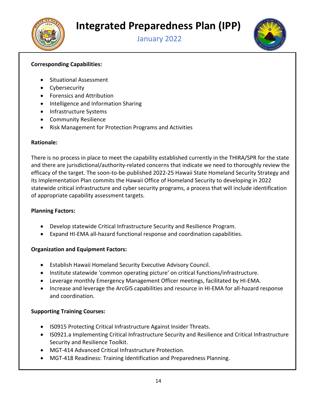



#### **Corresponding Capabilities:**

- Situational Assessment
- Cybersecurity
- Forensics and Attribution
- Intelligence and Information Sharing
- Infrastructure Systems
- Community Resilience
- Risk Management for Protection Programs and Activities

#### **Rationale:**

There is no process in place to meet the capability established currently in the THIRA/SPR for the state and there are jurisdictional/authority-related concerns that indicate we need to thoroughly review the efficacy of the target. The soon-to-be-published 2022-25 Hawaii State Homeland Security Strategy and its Implementation Plan commits the Hawaii Office of Homeland Security to developing in 2022 statewide critical infrastructure and cyber security programs, a process that will include identification of appropriate capability assessment targets.

#### **Planning Factors:**

- Develop statewide Critical Infrastructure Security and Resilience Program.
- Expand HI-EMA all-hazard functional response and coordination capabilities.

#### **Organization and Equipment Factors:**

- Establish Hawaii Homeland Security Executive Advisory Council.
- Institute statewide 'common operating picture' on critical functions/infrastructure.
- Leverage monthly Emergency Management Officer meetings, facilitated by HI-EMA.
- Increase and leverage the ArcGIS capabilities and resource in HI-EMA for all-hazard response and coordination.

#### **Supporting Training Courses:**

- IS0915 Protecting Critical Infrastructure Against Insider Threats.
- IS0921.a Implementing Critical Infrastructure Security and Resilience and Critical Infrastructure Security and Resilience Toolkit.
- MGT-414 Advanced Critical Infrastructure Protection.
- MGT-418 Readiness: Training Identification and Preparedness Planning.



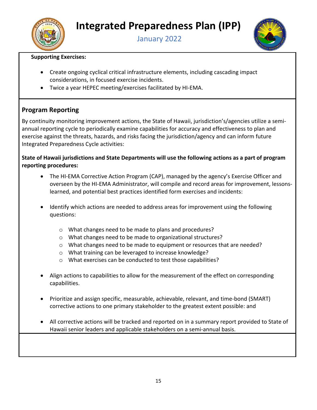<span id="page-15-2"></span>



#### **Supporting Exercises:**

- Create ongoing cyclical critical infrastructure elements, including cascading impact considerations, in focused exercise incidents.
- Twice a year HEPEC meeting/exercises facilitated by HI-EMA.

#### <span id="page-15-0"></span>**Program Reporting**

By continuity monitoring improvement actions, the State of Hawaii, jurisdiction's/agencies utilize a semiannual reporting cycle to periodically examine capabilities for accuracy and effectiveness to plan and exercise against the threats, hazards, and risks facing the jurisdiction/agency and can inform future Integrated Preparedness Cycle activities:

<span id="page-15-1"></span>**State of Hawaii jurisdictions and State Departments will use the following actions as a part of program reporting procedures:** 

- The HI-EMA Corrective Action Program (CAP), managed by the agency's Exercise Officer and overseen by the HI-EMA Administrator, will compile and record areas for improvement, lessonslearned, and potential best practices identified form exercises and incidents:
- Identify which actions are needed to address areas for improvement using the following questions:
	- o What changes need to be made to plans and procedures?
	- o What changes need to be made to organizational structures?
	- o What changes need to be made to equipment or resources that are needed?
	- o What training can be leveraged to increase knowledge?
	- o What exercises can be conducted to test those capabilities?
- Align actions to capabilities to allow for the measurement of the effect on corresponding capabilities.
- Prioritize and assign specific, measurable, achievable, relevant, and time-bond (SMART) corrective actions to one primary stakeholder to the greatest extent possible: and
- All corrective actions will be tracked and reported on in a summary report provided to State of Hawaii senior leaders and applicable stakeholders on a semi-annual basis.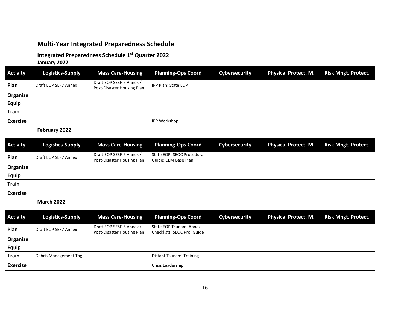#### <span id="page-16-1"></span>**Multi-Year Integrated Preparedness Schedule**

#### **Integrated Preparedness Schedule 1st Quarter 2022**

**January 2022**

| <b>Activity</b> | <b>Logistics-Supply</b> | <b>Mass Care-Housing</b>                               | <b>Planning-Ops Coord</b> | Cybersecurity | <b>Physical Protect. M.</b> | <b>Risk Mngt. Protect.</b> |
|-----------------|-------------------------|--------------------------------------------------------|---------------------------|---------------|-----------------------------|----------------------------|
| Plan            | Draft EOP SEF7 Annex    | Draft EOP SESF-6 Annex /<br>Post-Disaster Housing Plan | IPP Plan; State EOP       |               |                             |                            |
| Organize        |                         |                                                        |                           |               |                             |                            |
| <b>Equip</b>    |                         |                                                        |                           |               |                             |                            |
| <b>Train</b>    |                         |                                                        |                           |               |                             |                            |
| <b>Exercise</b> |                         |                                                        | <b>IPP Workshop</b>       |               |                             |                            |

<span id="page-16-0"></span>**February 2022**

| <b>Activity</b> | <b>Logistics-Supply</b> | <b>Mass Care-Housing</b>                               | <b>Planning-Ops Coord</b>                          | Cybersecurity | <b>Physical Protect. M.</b> | <b>Risk Mngt. Protect.</b> |
|-----------------|-------------------------|--------------------------------------------------------|----------------------------------------------------|---------------|-----------------------------|----------------------------|
| Plan            | Draft EOP SEF7 Annex    | Draft EOP SESF-6 Annex /<br>Post-Disaster Housing Plan | State EOP; SEOC Procedural<br>Guide; CEM Base Plan |               |                             |                            |
| Organize        |                         |                                                        |                                                    |               |                             |                            |
| <b>Equip</b>    |                         |                                                        |                                                    |               |                             |                            |
| <b>Train</b>    |                         |                                                        |                                                    |               |                             |                            |
| <b>Exercise</b> |                         |                                                        |                                                    |               |                             |                            |

**March 2022**

| <b>Activity</b> | <b>Logistics-Supply</b> | <b>Mass Care-Housing</b>                               | <b>Planning-Ops Coord</b>                                | Cybersecurity | <b>Physical Protect. M.</b> | <b>Risk Mngt. Protect.</b> |
|-----------------|-------------------------|--------------------------------------------------------|----------------------------------------------------------|---------------|-----------------------------|----------------------------|
| Plan            | Draft EOP SEF7 Annex    | Draft EOP SESF-6 Annex /<br>Post-Disaster Housing Plan | State EOP Tsunami Annex -<br>Checklists; SEOC Pro. Guide |               |                             |                            |
| Organize        |                         |                                                        |                                                          |               |                             |                            |
| <b>Equip</b>    |                         |                                                        |                                                          |               |                             |                            |
| <b>Train</b>    | Debris Management Tng.  |                                                        | Distant Tsunami Training                                 |               |                             |                            |
| <b>Exercise</b> |                         |                                                        | Crisis Leadership                                        |               |                             |                            |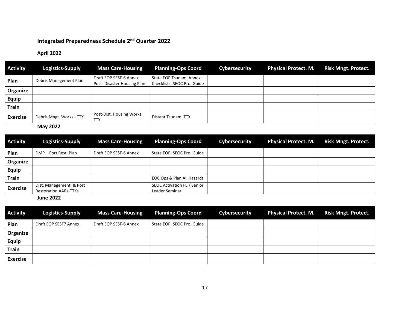#### **Integrated Preparedness Schedule 2nd Quarter 2022**

#### **April 2022**

| <b>Activity</b> | Logistics-Supply         | <b>Mass Care-Housing</b>                               | <b>Planning-Ops Coord</b>                                | Cybersecurity | <b>Physical Protect. M.</b> | <b>Risk Mngt. Protect.</b> |
|-----------------|--------------------------|--------------------------------------------------------|----------------------------------------------------------|---------------|-----------------------------|----------------------------|
| Plan            | Debris Management Plan   | Draft EOP SESF-6 Annex -<br>Post-Disaster Housing Plan | State EOP Tsunami Annex -<br>Checklists; SEOC Pro. Guide |               |                             |                            |
| Organize        |                          |                                                        |                                                          |               |                             |                            |
| <b>Equip</b>    |                          |                                                        |                                                          |               |                             |                            |
| <b>Train</b>    |                          |                                                        |                                                          |               |                             |                            |
| <b>Exercise</b> | Debris Mngt. Works - TTX | Post-Dist. Housing Works.<br><b>TTX</b>                | Distant Tsunami TTX                                      |               |                             |                            |

**May 2022**

| <b>Activity</b> | <b>Logistics-Supply</b>                                  | <b>Mass Care-Housing</b> | <b>Planning-Ops Coord</b>                     | Cybersecurity | <b>Physical Protect. M.</b> | <b>Risk Mngt. Protect.</b> |
|-----------------|----------------------------------------------------------|--------------------------|-----------------------------------------------|---------------|-----------------------------|----------------------------|
| Plan            | DMP – Port Rest. Plan                                    | Draft EOP SESF-6 Annex   | State EOP; SEOC Pro. Guide                    |               |                             |                            |
| Organize        |                                                          |                          |                                               |               |                             |                            |
| <b>Equip</b>    |                                                          |                          |                                               |               |                             |                            |
| <b>Train</b>    |                                                          |                          | EOC Ops & Plan All Hazards                    |               |                             |                            |
| <b>Exercise</b> | Dist. Management. & Port<br><b>Restoration AARs-TTXs</b> |                          | SEOC Activation FE / Senior<br>Leader Seminar |               |                             |                            |

**June 2022**

| <b>Activity</b> | <b>Logistics-Supply</b> | <b>Mass Care-Housing</b> | <b>Planning-Ops Coord</b>  | <b>Cybersecurity</b> | <b>Physical Protect. M.</b> | <b>Risk Mngt. Protect.</b> |
|-----------------|-------------------------|--------------------------|----------------------------|----------------------|-----------------------------|----------------------------|
| Plan            | Draft EOP SESF7 Annex   | Draft EOP SESF-6 Annex   | State EOP; SEOC Pro. Guide |                      |                             |                            |
| Organize        |                         |                          |                            |                      |                             |                            |
| <b>Equip</b>    |                         |                          |                            |                      |                             |                            |
| Train           |                         |                          |                            |                      |                             |                            |
| <b>Exercise</b> |                         |                          |                            |                      |                             |                            |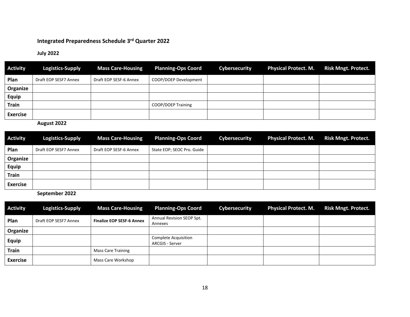### **Integrated Preparedness Schedule 3rd Quarter 2022**

#### **July 2022**

| <b>Activity</b> | <b>Logistics-Supply</b> | <b>Mass Care-Housing</b> | <b>Planning-Ops Coord</b> | <b>Cybersecurity</b> | <b>Physical Protect. M.</b> | <b>Risk Mngt. Protect.</b> |
|-----------------|-------------------------|--------------------------|---------------------------|----------------------|-----------------------------|----------------------------|
| Plan            | Draft EOP SESF7 Annex   | Draft EOP SESF-6 Annex   | COOP/DOEP Development     |                      |                             |                            |
| Organize        |                         |                          |                           |                      |                             |                            |
| Equip           |                         |                          |                           |                      |                             |                            |
| <b>Train</b>    |                         |                          | COOP/DOEP Training        |                      |                             |                            |
| <b>Exercise</b> |                         |                          |                           |                      |                             |                            |

**August 2022**

| <b>Activity</b> | <b>Logistics-Supply</b> | <b>Mass Care-Housing</b> | <b>Planning-Ops Coord</b>  | <b>Cybersecurity</b> | <b>Physical Protect. M.</b> | <b>Risk Mngt. Protect.</b> |
|-----------------|-------------------------|--------------------------|----------------------------|----------------------|-----------------------------|----------------------------|
| Plan            | Draft EOP SESF7 Annex   | Draft EOP SESF-6 Annex   | State EOP; SEOC Pro. Guide |                      |                             |                            |
| Organize        |                         |                          |                            |                      |                             |                            |
| <b>Equip</b>    |                         |                          |                            |                      |                             |                            |
| <b>Train</b>    |                         |                          |                            |                      |                             |                            |
| <b>Exercise</b> |                         |                          |                            |                      |                             |                            |

**September 2022**

| <b>Activity</b> | <b>Logistics-Supply</b> | <b>Mass Care-Housing</b>         | <b>Planning-Ops Coord</b>               | Cybersecurity | <b>Physical Protect. M.</b> | <b>Risk Mngt. Protect.</b> |
|-----------------|-------------------------|----------------------------------|-----------------------------------------|---------------|-----------------------------|----------------------------|
| Plan            | Draft EOP SESF7 Annex   | <b>Finalize EOP SESF-6 Annex</b> | Annual Revision SEOP Spt.<br>Annexes    |               |                             |                            |
| Organize        |                         |                                  |                                         |               |                             |                            |
| Equip           |                         |                                  | Complete Acquisition<br>ARCGIS - Server |               |                             |                            |
| <b>Train</b>    |                         | <b>Mass Care Training</b>        |                                         |               |                             |                            |
| <b>Exercise</b> |                         | Mass Care Workshop               |                                         |               |                             |                            |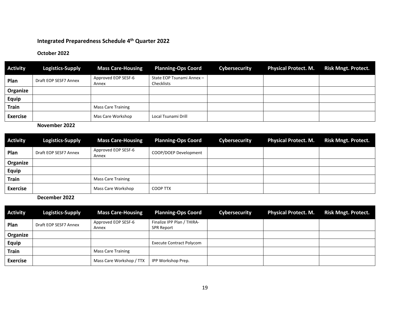#### **Integrated Preparedness Schedule 4th Quarter 2022**

#### **October 2022**

| <b>Activity</b> | Logistics-Supply      | <b>Mass Care-Housing</b>     | <b>Planning-Ops Coord</b>               | Cybersecurity | <b>Physical Protect. M.</b> | <b>Risk Mngt. Protect.</b> |
|-----------------|-----------------------|------------------------------|-----------------------------------------|---------------|-----------------------------|----------------------------|
| Plan            | Draft EOP SESF7 Annex | Approved EOP SESF-6<br>Annex | State EOP Tsunami Annex -<br>Checklists |               |                             |                            |
| Organize        |                       |                              |                                         |               |                             |                            |
| <b>Equip</b>    |                       |                              |                                         |               |                             |                            |
| <b>Train</b>    |                       | <b>Mass Care Training</b>    |                                         |               |                             |                            |
| <b>Exercise</b> |                       | Mas Care Workshop            | Local Tsunami Drill                     |               |                             |                            |

**November 2022**

| <b>Activity</b> | <b>Logistics-Supply</b> | <b>Mass Care-Housing</b>     | <b>Planning-Ops Coord</b> | Cybersecurity | <b>Physical Protect. M.</b> | <b>Risk Mngt. Protect.</b> |
|-----------------|-------------------------|------------------------------|---------------------------|---------------|-----------------------------|----------------------------|
| Plan            | Draft EOP SESF7 Annex   | Approved EOP SESF-6<br>Annex | COOP/DOEP Development     |               |                             |                            |
| Organize        |                         |                              |                           |               |                             |                            |
| <b>Equip</b>    |                         |                              |                           |               |                             |                            |
| <b>Train</b>    |                         | <b>Mass Care Training</b>    |                           |               |                             |                            |
| <b>Exercise</b> |                         | Mass Care Workshop           | COOP TTX                  |               |                             |                            |

**December 2022**

| <b>Activity</b> | Logistics-Supply      | <b>Mass Care-Housing</b>     | <b>Planning-Ops Coord</b>                       | <b>Cybersecurity</b> | <b>Physical Protect. M.</b> | <b>Risk Mngt. Protect.</b> |
|-----------------|-----------------------|------------------------------|-------------------------------------------------|----------------------|-----------------------------|----------------------------|
| Plan            | Draft EOP SESF7 Annex | Approved EOP SESF-6<br>Annex | Finalize IPP Plan / THIRA-<br><b>SPR Report</b> |                      |                             |                            |
| Organize        |                       |                              |                                                 |                      |                             |                            |
| <b>Equip</b>    |                       |                              | <b>Execute Contract Polycom</b>                 |                      |                             |                            |
| <b>Train</b>    |                       | Mass Care Training           |                                                 |                      |                             |                            |
| <b>Exercise</b> |                       | Mass Care Workshop / TTX     | IPP Workshop Prep.                              |                      |                             |                            |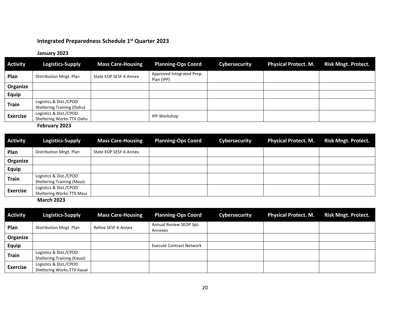#### **Integrated Preparedness Schedule 1st Quarter 2023**

#### **January 2023**

| <b>Activity</b> | Logistics-Supply                                     | <b>Mass Care-Housing</b> | <b>Planning-Ops Coord</b>               | Cybersecurity | <b>Physical Protect. M.</b> | <b>Risk Mngt. Protect.</b> |
|-----------------|------------------------------------------------------|--------------------------|-----------------------------------------|---------------|-----------------------------|----------------------------|
| Plan            | Distribution Mngt. Plan                              | State EOP SESF-6 Annex   | Approved Integrated Prep.<br>Plan (IPP) |               |                             |                            |
| Organize        |                                                      |                          |                                         |               |                             |                            |
| <b>Equip</b>    |                                                      |                          |                                         |               |                             |                            |
| <b>Train</b>    | Logistics & Dist./CPOD<br>Sheltering Training (Oahu) |                          |                                         |               |                             |                            |
| <b>Exercise</b> | Logistics & Dist./CPOD<br>Sheltering Works-TTX Oahu  |                          | <b>IPP Workshop</b>                     |               |                             |                            |

**February 2023**

| <b>Activity</b> | Logistics-Supply                                            | <b>Mass Care-Housing</b> | <b>Planning-Ops Coord</b> | <b>Cybersecurity</b> | <b>Physical Protect. M.</b> | <b>Risk Mngt. Protect.</b> |
|-----------------|-------------------------------------------------------------|--------------------------|---------------------------|----------------------|-----------------------------|----------------------------|
| Plan            | Distribution Mngt. Plan                                     | State EOP SESF-6 Annex   |                           |                      |                             |                            |
| Organize        |                                                             |                          |                           |                      |                             |                            |
| <b>Equip</b>    |                                                             |                          |                           |                      |                             |                            |
| <b>Train</b>    | Logistics & Dist./CPOD<br><b>Sheltering Training (Maui)</b> |                          |                           |                      |                             |                            |
| <b>Exercise</b> | Logistics & Dist./CPOD<br>Sheltering Works-TTX Maui         |                          |                           |                      |                             |                            |

**March 2023** 

| <b>Activity</b> | Logistics-Supply                                      | <b>Mass Care-Housing</b> | <b>Planning-Ops Coord</b>          | Cybersecurity | <b>Physical Protect. M.</b> | <b>Risk Mngt. Protect.</b> |
|-----------------|-------------------------------------------------------|--------------------------|------------------------------------|---------------|-----------------------------|----------------------------|
| Plan            | Distribution Mngt. Plan                               | Refine SESF-6 Annex      | Annual Review SEOP Spt.<br>Annexes |               |                             |                            |
| Organize        |                                                       |                          |                                    |               |                             |                            |
| Equip           |                                                       |                          | <b>Execute Contract Network</b>    |               |                             |                            |
| <b>Train</b>    | Logistics & Dist./CPOD<br>Sheltering Training (Kauai) |                          |                                    |               |                             |                            |
| <b>Exercise</b> | Logistics & Dist./CPOD<br>Sheltering Works-TTX Kauai  |                          |                                    |               |                             |                            |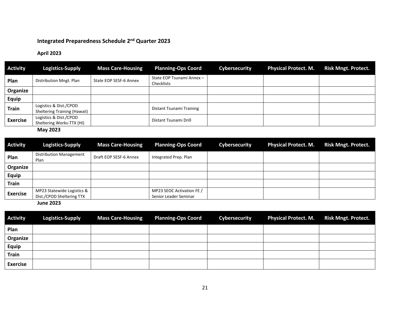#### **Integrated Preparedness Schedule 2nd Quarter 2023**

#### **April 2023**

| <b>Activity</b> | Logistics-Supply                                       | <b>Mass Care-Housing</b> | <b>Planning-Ops Coord</b>               | Cybersecurity | <b>Physical Protect. M.</b> | <b>Risk Mngt. Protect.</b> |
|-----------------|--------------------------------------------------------|--------------------------|-----------------------------------------|---------------|-----------------------------|----------------------------|
| Plan            | Distribution Mngt. Plan                                | State EOP SESF-6 Annex   | State EOP Tsunami Annex -<br>Checklists |               |                             |                            |
| Organize        |                                                        |                          |                                         |               |                             |                            |
| Equip           |                                                        |                          |                                         |               |                             |                            |
| <b>Train</b>    | Logistics & Dist./CPOD<br>Sheltering Training (Hawaii) |                          | Distant Tsunami Training                |               |                             |                            |
| <b>Exercise</b> | Logistics & Dist./CPOD<br>Sheltering Works-TTX (HI)    |                          | Distant Tsunami Drill                   |               |                             |                            |

**May 2023** 

| <b>Activity</b> | <b>Logistics-Supply</b>                | <b>Mass Care-Housing</b> | <b>Planning-Ops Coord</b> | Cybersecurity | <b>Physical Protect. M.</b> | <b>Risk Mngt. Protect.</b> |
|-----------------|----------------------------------------|--------------------------|---------------------------|---------------|-----------------------------|----------------------------|
| Plan            | <b>Distribution Management</b><br>Plan | Draft EOP SESF-6 Annex   | Integrated Prep. Plan     |               |                             |                            |
| Organize        |                                        |                          |                           |               |                             |                            |
| <b>Equip</b>    |                                        |                          |                           |               |                             |                            |
| <b>Train</b>    |                                        |                          |                           |               |                             |                            |
| <b>Exercise</b> | MP23 Statewide Logistics &             |                          | MP23 SEOC Activation FE / |               |                             |                            |
|                 | Dist./CPOD Sheltering TTX              |                          | Senior Leader Seminar     |               |                             |                            |

**June 2023** 

| <b>Activity</b> | <b>Logistics-Supply</b> | <b>Mass Care-Housing</b> | <b>Planning-Ops Coord</b> | <b>Cybersecurity</b> | <b>Physical Protect. M.</b> | <b>Risk Mngt. Protect.</b> |
|-----------------|-------------------------|--------------------------|---------------------------|----------------------|-----------------------------|----------------------------|
| Plan            |                         |                          |                           |                      |                             |                            |
| Organize        |                         |                          |                           |                      |                             |                            |
| <b>Equip</b>    |                         |                          |                           |                      |                             |                            |
| <b>Train</b>    |                         |                          |                           |                      |                             |                            |
| <b>Exercise</b> |                         |                          |                           |                      |                             |                            |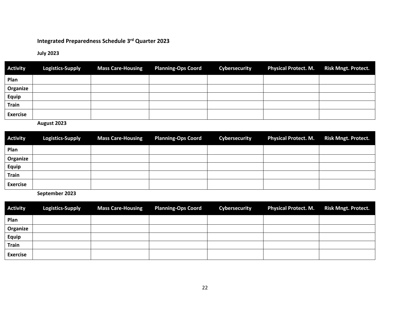#### **Integrated Preparedness Schedule 3rd Quarter 2023**

#### **July 2023**

| <b>Activity</b> | <b>Logistics-Supply</b> | <b>Mass Care-Housing</b> | <b>Planning-Ops Coord</b> | <b>Cybersecurity</b> | <b>Physical Protect. M.</b> | <b>Risk Mngt. Protect.</b> |
|-----------------|-------------------------|--------------------------|---------------------------|----------------------|-----------------------------|----------------------------|
| Plan            |                         |                          |                           |                      |                             |                            |
| Organize        |                         |                          |                           |                      |                             |                            |
| <b>Equip</b>    |                         |                          |                           |                      |                             |                            |
| <b>Train</b>    |                         |                          |                           |                      |                             |                            |
| <b>Exercise</b> |                         |                          |                           |                      |                             |                            |

**August 2023** 

| <b>Activity</b> | <b>Logistics-Supply</b> | <b>Mass Care-Housing</b> | <b>Planning-Ops Coord</b> | <b>Cybersecurity</b> | <b>Physical Protect. M.</b> | <b>Risk Mngt. Protect.</b> |
|-----------------|-------------------------|--------------------------|---------------------------|----------------------|-----------------------------|----------------------------|
| Plan            |                         |                          |                           |                      |                             |                            |
| Organize        |                         |                          |                           |                      |                             |                            |
| <b>Equip</b>    |                         |                          |                           |                      |                             |                            |
| <b>Train</b>    |                         |                          |                           |                      |                             |                            |
| <b>Exercise</b> |                         |                          |                           |                      |                             |                            |

**September 2023**

| <b>Activity</b> | <b>Logistics-Supply</b> | <b>Mass Care-Housing</b> | <b>Planning-Ops Coord</b> | Cybersecurity | <b>Physical Protect. M.</b> | <b>Risk Mngt. Protect.</b> |
|-----------------|-------------------------|--------------------------|---------------------------|---------------|-----------------------------|----------------------------|
| Plan            |                         |                          |                           |               |                             |                            |
| Organize        |                         |                          |                           |               |                             |                            |
| <b>Equip</b>    |                         |                          |                           |               |                             |                            |
| <b>Train</b>    |                         |                          |                           |               |                             |                            |
| <b>Exercise</b> |                         |                          |                           |               |                             |                            |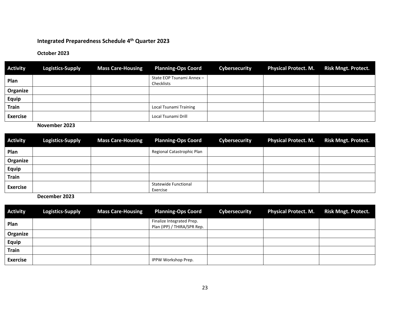#### **Integrated Preparedness Schedule 4th Quarter 2023**

#### **October 2023**

| <b>Activity</b> | <b>Logistics-Supply</b> | <b>Mass Care-Housing</b> | <b>Planning-Ops Coord</b>               | <b>Cybersecurity</b> | <b>Physical Protect. M.</b> | <b>Risk Mngt. Protect.</b> |
|-----------------|-------------------------|--------------------------|-----------------------------------------|----------------------|-----------------------------|----------------------------|
| Plan            |                         |                          | State EOP Tsunami Annex -<br>Checklists |                      |                             |                            |
| Organize        |                         |                          |                                         |                      |                             |                            |
| <b>Equip</b>    |                         |                          |                                         |                      |                             |                            |
| Train           |                         |                          | Local Tsunami Training                  |                      |                             |                            |
| <b>Exercise</b> |                         |                          | Local Tsunami Drill                     |                      |                             |                            |

#### **November 2023**

| <b>Activity</b> | <b>Logistics-Supply</b> | <b>Mass Care-Housing</b> | <b>Planning-Ops Coord</b>               | Cybersecurity | <b>Physical Protect. M.</b> | <b>Risk Mngt. Protect.</b> |
|-----------------|-------------------------|--------------------------|-----------------------------------------|---------------|-----------------------------|----------------------------|
| Plan            |                         |                          | Regional Catastrophic Plan              |               |                             |                            |
| Organize        |                         |                          |                                         |               |                             |                            |
| <b>Equip</b>    |                         |                          |                                         |               |                             |                            |
| <b>Train</b>    |                         |                          |                                         |               |                             |                            |
| <b>Exercise</b> |                         |                          | <b>Statewide Functional</b><br>Exercise |               |                             |                            |

**December 2023**

| <b>Activity</b> | <b>Logistics-Supply</b> | <b>Mass Care-Housing</b> | <b>Planning-Ops Coord</b>                                | <b>Cybersecurity</b> | <b>Physical Protect. M.</b> | <b>Risk Mngt. Protect.</b> |
|-----------------|-------------------------|--------------------------|----------------------------------------------------------|----------------------|-----------------------------|----------------------------|
| Plan            |                         |                          | Finalize Integrated Prep.<br>Plan (IPP) / THIRA/SPR Rep. |                      |                             |                            |
| Organize        |                         |                          |                                                          |                      |                             |                            |
| Equip           |                         |                          |                                                          |                      |                             |                            |
| Train           |                         |                          |                                                          |                      |                             |                            |
| <b>Exercise</b> |                         |                          | IPPW Workshop Prep.                                      |                      |                             |                            |